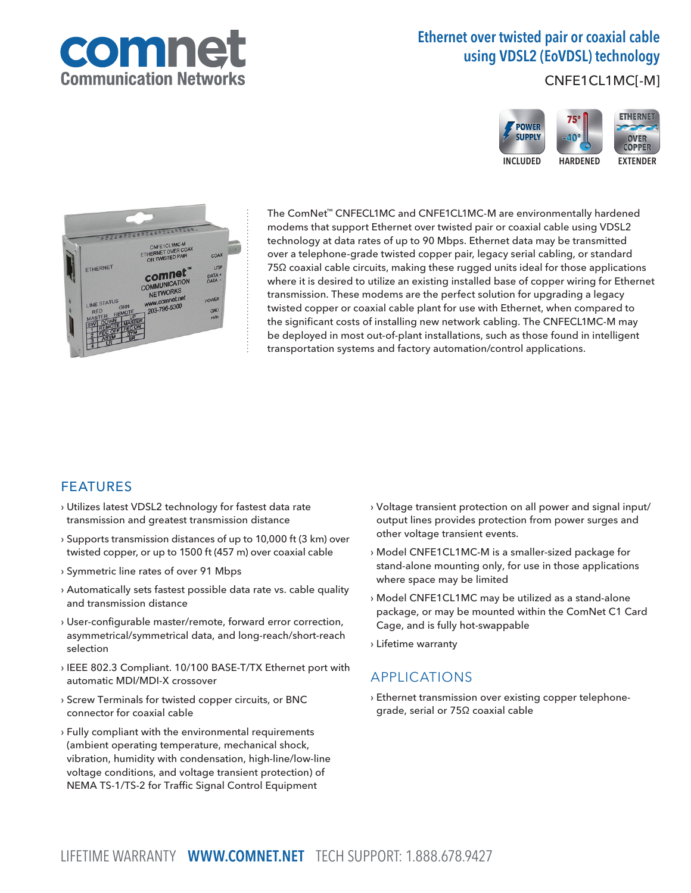

# Ethernet over twisted pair or coaxial cable using VDSL2 (EoVDSL) technology

CNFE1CL1MC[-M]





The ComNet™ CNFECL1MC and CNFE1CL1MC-M are environmentally hardened modems that support Ethernet over twisted pair or coaxial cable using VDSL2 technology at data rates of up to 90 Mbps. Ethernet data may be transmitted over a telephone-grade twisted copper pair, legacy serial cabling, or standard 75Ω coaxial cable circuits, making these rugged units ideal for those applications where it is desired to utilize an existing installed base of copper wiring for Ethernet transmission. These modems are the perfect solution for upgrading a legacy twisted copper or coaxial cable plant for use with Ethernet, when compared to the significant costs of installing new network cabling. The CNFECL1MC-M may be deployed in most out-of-plant installations, such as those found in intelligent transportation systems and factory automation/control applications.

### FEATURES

- › Utilizes latest VDSL2 technology for fastest data rate transmission and greatest transmission distance
- › Supports transmission distances of up to 10,000 ft (3 km) over twisted copper, or up to 1500 ft (457 m) over coaxial cable
- › Symmetric line rates of over 91 Mbps
- › Automatically sets fastest possible data rate vs. cable quality and transmission distance
- › User-configurable master/remote, forward error correction, asymmetrical/symmetrical data, and long-reach/short-reach selection
- › IEEE 802.3 Compliant. 10/100 BASE-T/TX Ethernet port with automatic MDI/MDI-X crossover
- › Screw Terminals for twisted copper circuits, or BNC connector for coaxial cable
- › Fully compliant with the environmental requirements (ambient operating temperature, mechanical shock, vibration, humidity with condensation, high-line/low-line voltage conditions, and voltage transient protection) of NEMA TS-1/TS-2 for Traffic Signal Control Equipment
- › Voltage transient protection on all power and signal input/ output lines provides protection from power surges and other voltage transient events.
- › Model CNFE1CL1MC-M is a smaller-sized package for stand-alone mounting only, for use in those applications where space may be limited
- › Model CNFE1CL1MC may be utilized as a stand-alone package, or may be mounted within the ComNet C1 Card Cage, and is fully hot-swappable
- › Lifetime warranty

### APPLICATIONS

› Ethernet transmission over existing copper telephonegrade, serial or 75Ω coaxial cable